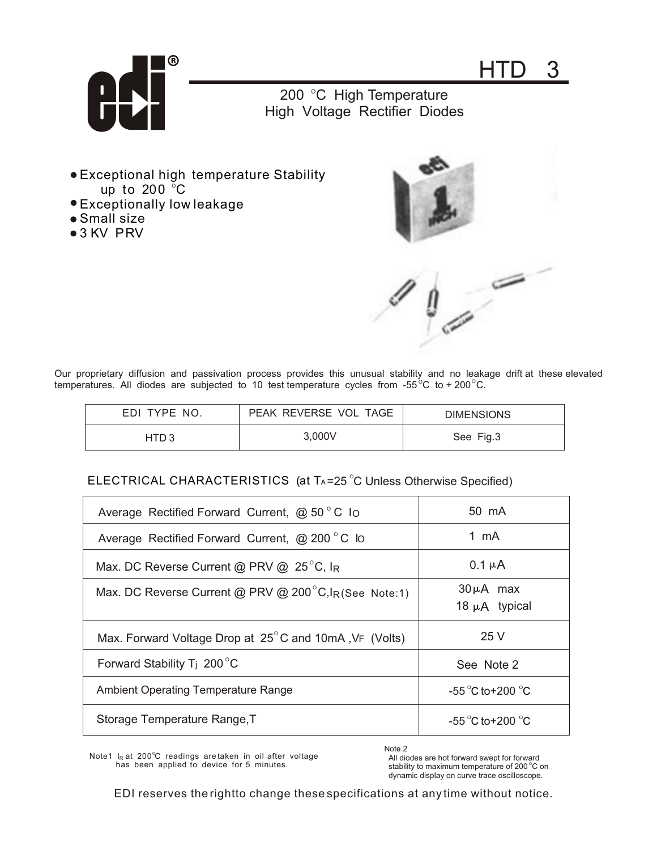



200 °C High Temperature High Voltage Rectifier Diodes

- up to 200  $^{\circ}$ C Exceptional high temperature Stability
- Exceptionally low leakage
- Small size
- 3 KV PRV



Our proprietary diffusion and passivation process provides this unusual stability and no leakage drift at these elevated temperatures. All diodes are subjected to 10 test temperature cycles from -55 $^{\circ}$ C to + 200 $^{\circ}$ C.

| EDI TYPE NO. | PEAK REVERSE VOL TAGE | <b>DIMENSIONS</b> |
|--------------|-----------------------|-------------------|
| HTD 3        | 3.000V                | See Fig.3         |

## ELECTRICAL CHARACTERISTICS (at TA=25  $^\circ$ C Unless Otherwise Specified)

| Average Rectified Forward Current, $\omega$ 50 °C Io                | 50 mA                               |
|---------------------------------------------------------------------|-------------------------------------|
| Average Rectified Forward Current, @ 200 °C lo                      | 1 mA                                |
| Max. DC Reverse Current @ PRV @ $25^{\circ}$ C, IR                  | $0.1 \mu A$                         |
| Max. DC Reverse Current @ PRV @ $200^{\circ}$ C, $I_R$ (See Note:1) | $30\mu A$ max<br>18 $\mu$ A typical |
| Max. Forward Voltage Drop at 25°C and 10mA, VF (Volts)              | 25 V                                |
| Forward Stability T <sub>i</sub> 200 $^{\circ}$ C                   | See Note 2                          |
| <b>Ambient Operating Temperature Range</b>                          | -55 $\degree$ C to+200 $\degree$ C  |
| Storage Temperature Range, T                                        | -55 $\degree$ C to+200 $\degree$ C  |

Note1  $I_R$  at 200°C readings are taken in oil after voltage has been applied to device for 5 minutes.

Note 2

 All diodes are hot forward swept for forward stability to maximum temperature of 200 $\degree$ C on dynamic display on curve trace oscilloscope.

EDI reserves the rightto change these specifications at any time without notice.